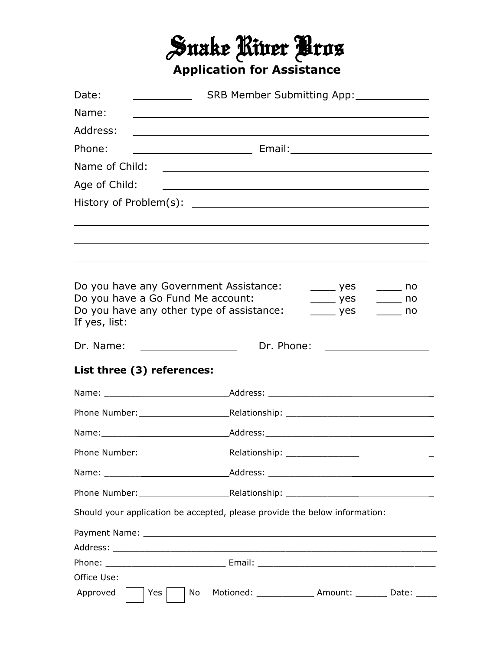## Snake River Bros **Application for Assistance**

| Date:                                                                                               | SRB Member Submitting App:                                                                                     |                                                      |                                                                             |
|-----------------------------------------------------------------------------------------------------|----------------------------------------------------------------------------------------------------------------|------------------------------------------------------|-----------------------------------------------------------------------------|
| Name:                                                                                               |                                                                                                                |                                                      |                                                                             |
| Address:                                                                                            |                                                                                                                |                                                      |                                                                             |
| Phone:                                                                                              |                                                                                                                |                                                      |                                                                             |
| Name of Child:                                                                                      |                                                                                                                |                                                      |                                                                             |
| Age of Child:                                                                                       |                                                                                                                |                                                      |                                                                             |
|                                                                                                     |                                                                                                                |                                                      |                                                                             |
|                                                                                                     |                                                                                                                |                                                      |                                                                             |
|                                                                                                     |                                                                                                                |                                                      |                                                                             |
|                                                                                                     |                                                                                                                |                                                      |                                                                             |
|                                                                                                     |                                                                                                                |                                                      |                                                                             |
| Do you have any Government Assistance:<br>______ yes ______ no<br>Do you have a Go Fund Me account: |                                                                                                                |                                                      |                                                                             |
|                                                                                                     | Do you have any other type of assistance:                                                                      | $\rule{1em}{0.15mm}$ yes<br>$\rule{1em}{0.15mm}$ yes | $\rule{1em}{0.15mm}$ no<br>$\frac{1}{\sqrt{1-\frac{1}{2}}}\log \frac{1}{2}$ |
| If yes, list:                                                                                       |                                                                                                                |                                                      |                                                                             |
| Dr. Name:                                                                                           | Dr. Phone:                                                                                                     |                                                      |                                                                             |
| List three (3) references:                                                                          |                                                                                                                |                                                      |                                                                             |
|                                                                                                     | Name: Name: Name: Name: Name: Name: Name: Name: Name: Name: Name: Name: Name: Name: Name: Name: Name: Name: Na |                                                      |                                                                             |
|                                                                                                     |                                                                                                                |                                                      |                                                                             |
|                                                                                                     |                                                                                                                |                                                      |                                                                             |
|                                                                                                     |                                                                                                                |                                                      |                                                                             |
|                                                                                                     |                                                                                                                |                                                      |                                                                             |
|                                                                                                     |                                                                                                                |                                                      |                                                                             |
|                                                                                                     |                                                                                                                |                                                      |                                                                             |
|                                                                                                     | Should your application be accepted, please provide the below information:                                     |                                                      |                                                                             |
|                                                                                                     |                                                                                                                |                                                      |                                                                             |
|                                                                                                     |                                                                                                                |                                                      |                                                                             |
|                                                                                                     |                                                                                                                |                                                      |                                                                             |
| Office Use:                                                                                         |                                                                                                                |                                                      |                                                                             |
| Approved<br>Yes                                                                                     | Motioned: _______________ Amount: ________ Date: _____<br>No                                                   |                                                      |                                                                             |